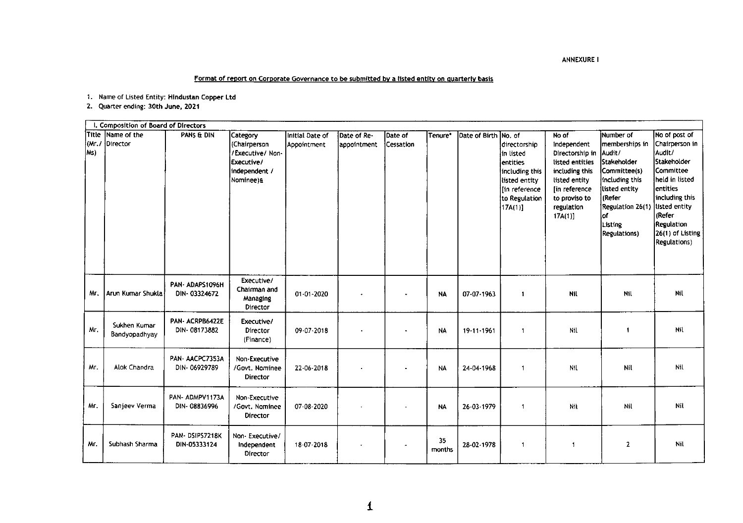## **ANNEXURE I**

## Format of report on Corporate Governance to be submitted by a listed entity on quarterly basis

1. Name of Listed Entity: Hindustan Copper Ltd

2. Quarter ending: 30th June, 2021

|                | I. Composition of Board of Directors |                                |                                                                                            |                                |                            |                             |              |               |                                                                                                                                      |                                                                                                                                                              |                                                                                                                                                                                        |                                                                                                                                                                                                                   |
|----------------|--------------------------------------|--------------------------------|--------------------------------------------------------------------------------------------|--------------------------------|----------------------------|-----------------------------|--------------|---------------|--------------------------------------------------------------------------------------------------------------------------------------|--------------------------------------------------------------------------------------------------------------------------------------------------------------|----------------------------------------------------------------------------------------------------------------------------------------------------------------------------------------|-------------------------------------------------------------------------------------------------------------------------------------------------------------------------------------------------------------------|
| (Mr. /<br> Ms) | Title Name of the<br>Director        | PANS & DIN                     | Category<br>l (Chairperson<br>/Executive/ Non-<br>Executive/<br>independent /<br>Nominee)& | Initial Date of<br>Appointment | Date of Re-<br>appointment | Date of<br><b>Cessation</b> | Tenure*      | Date of Birth | No. of<br>directorship<br>in listed<br><b>entities</b><br>including this<br>listed entity<br>In reference<br>to Regulation<br>17A(1) | No of<br>Independent<br>Directorship in<br>listed entities<br>including this<br>listed entity<br>[in reference]<br>to proviso to<br>regulation<br>$17A(1)$ ] | Number of<br>memberships in<br>Audit/<br><b>Stakeholder</b><br>Committee(s)<br>including this<br>listed entity<br>(Refer<br>Regulation 26(1)<br>of.<br>Listing<br><b>Regulations</b> ) | No of post of<br>Chairperson in<br>Audit/<br>Stakeholder<br>Committee<br>Iheld in listed<br>lentities<br>including this<br>listed entity<br><b>Refer</b><br><b>Regulation</b><br>26(1) of Listing<br>Regulations) |
| Mr.            | Arun Kumar Shukla                    | PAN-ADAPS1096H<br>DIN-03324672 | Executive/<br>Chairman and<br>Managing<br>Director                                         | 01-01-2020                     |                            |                             | <b>NA</b>    | 07-07-1963    | 1                                                                                                                                    | Nil                                                                                                                                                          | Nil                                                                                                                                                                                    | Nil                                                                                                                                                                                                               |
| Mr.            | Sukhen Kumar<br>Bandyopadhyay        | PAN-ACRPB6422E<br>DIN-08173882 | Executive/<br>Director<br>(Finance)                                                        | 09-07-2018                     |                            |                             | NA           | 19-11-1961    | 1                                                                                                                                    | Nil                                                                                                                                                          | -1                                                                                                                                                                                     | Nil                                                                                                                                                                                                               |
| Mr.            | Alok Chandra                         | PAN AACPC7353A<br>DIN-06929789 | Non-Executive<br>/Govt. Nominee<br><b>Director</b>                                         | 22 06 2018                     |                            |                             | <b>NA</b>    | 24-04-1968    | $\mathbf{1}$                                                                                                                         | NIL                                                                                                                                                          | Nil                                                                                                                                                                                    | Nil                                                                                                                                                                                                               |
| Mr.            | Sanjeev Verma                        | PAN-ADMPV1173A<br>DIN-08836996 | Non-Executive<br>/Govt. Nominee<br><b>Director</b>                                         | 07-08-2020                     |                            |                             | <b>NA</b>    | 26-03-1979    | $\mathbf{1}$                                                                                                                         | Nil                                                                                                                                                          | Nil                                                                                                                                                                                    | Nil                                                                                                                                                                                                               |
| Mr.            | Subhash Sharma                       | PAN-DSIPS7218K<br>DIN-05333124 | Non-Executive/<br>Independent<br>Director                                                  | 18-07-2018                     |                            |                             | 35<br>months | 28-02-1978    | 1                                                                                                                                    | 1                                                                                                                                                            | 2                                                                                                                                                                                      | Nil                                                                                                                                                                                                               |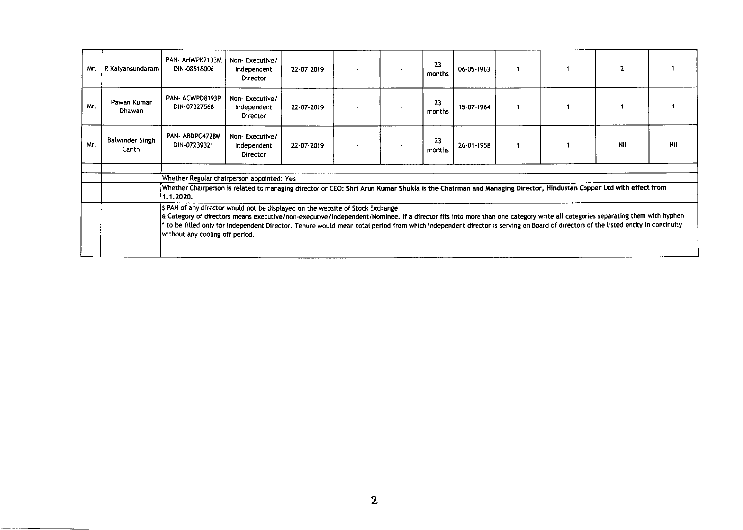| Mr. | R Kalyansundaram                | PAN-AHWPK2133M<br>DIN-08518006                                                                                                                                                                                                                                                                                                                                                                                                                                                                                                                                                                                                                                                                                    | Non-Executive/<br>Independent<br>Director | 22-07-2019 |  | 23<br>months | 06-05-1963 |  |     |     |
|-----|---------------------------------|-------------------------------------------------------------------------------------------------------------------------------------------------------------------------------------------------------------------------------------------------------------------------------------------------------------------------------------------------------------------------------------------------------------------------------------------------------------------------------------------------------------------------------------------------------------------------------------------------------------------------------------------------------------------------------------------------------------------|-------------------------------------------|------------|--|--------------|------------|--|-----|-----|
| Mr. | Pawan Kumar<br>Dhawan           | PAN-ACWPD8193P<br>DIN-07327568                                                                                                                                                                                                                                                                                                                                                                                                                                                                                                                                                                                                                                                                                    | Non-Executive/<br>Independent<br>Director | 22-07-2019 |  | 23<br>months | 15-07-1964 |  |     |     |
| Mr. | <b>Balwinder Singh</b><br>Canth | PAN-ABDPC4728M<br>DIN-07239321                                                                                                                                                                                                                                                                                                                                                                                                                                                                                                                                                                                                                                                                                    | Non-Executive/<br>Independent<br>Director | 22-07-2019 |  | 23<br>months | 26-01-1958 |  | Nil | Nil |
|     |                                 | Whether Regular chairperson appointed: Yes<br>Whether Chairperson is related to managing director or CEO: Shri Arun Kumar Shukla is the Chairman and Managing Director, Hindustan Copper Ltd with effect from<br>1.1.2020.<br>\$ PAN of any director would not be displayed on the website of Stock Exchange<br>E Category of directors means executive/non-executive/independent/Nominee. if a director fits into more than one category write all categories separating them with hyphen<br>* to be filled only for Independent Director. Tenure would mean total period from which independent director is serving on Board of directors of the listed entity in continuity<br>without any cooling off period. |                                           |            |  |              |            |  |     |     |

 $\sim 10^{-1}$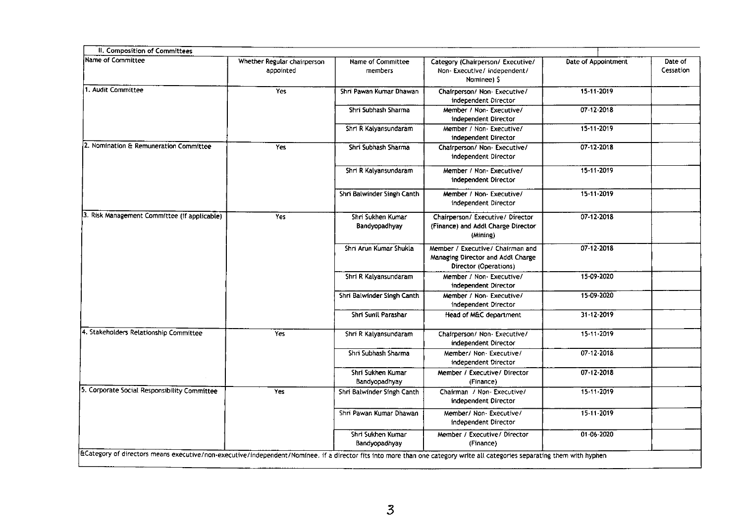| Whether Regular chairperson<br>appointed | Name of Committee<br>members       | Category (Chairperson/ Executive/<br>Non-Executive/independent/<br>Nominee) \$                 | Date of Appointment | Date of<br>Cessation |
|------------------------------------------|------------------------------------|------------------------------------------------------------------------------------------------|---------------------|----------------------|
| Yes                                      | Shri Pawan Kumar Dhawan            | Chairperson/ Non- Executive/<br>independent Director                                           | 15-11-2019          |                      |
|                                          | Shri Subhash Sharma                | Member / Non-Executive/<br>independent Director                                                | 07-12-2018          |                      |
|                                          | Shri R Kalyansundaram              | Member / Non-Executive/<br>independent Director                                                | 15-11-2019          |                      |
| Yes                                      | Shri Subhash Sharma                | Chairperson/ Non- Executive/<br>independent Director                                           | $07 - 12 - 2018$    |                      |
|                                          | Shri R Kalyansundaram              | Member / Non- Executive/<br>independent Director                                               | 15-11-2019          |                      |
|                                          | Shri Balwinder Singh Canth         | Member / Non-Executive/<br>independent Director                                                | 15-11-2019          |                      |
| Yes                                      | Shri Sukhen Kumar<br>Bandyopadhyay | Chairperson/ Executive/ Director<br>(Finance) and Addl Charge Director<br>(Mining)             | 07-12-2018          |                      |
|                                          | Shri Arun Kumar Shukla             | Member / Executive/ Chairman and<br>Managing Director and Addl Charge<br>Director (Operations) | 07-12-2018          |                      |
|                                          | Shri R Kalyansundaram              | Member / Non-Executive/<br>independent Director                                                | 15-09-2020          |                      |
|                                          | Shri Balwinder Singh Canth         | Member / Non-Executive/<br>independent Director                                                | 15-09-2020          |                      |
|                                          | Shri Sunil Parashar                | Head of M&C department                                                                         | 31-12-2019          |                      |
| Yes                                      | Shri R Kalyansundaram              | Chairperson/ Non- Executive/<br>independent Director                                           | 15-11-2019          |                      |
|                                          | Shri Subhash Sharma                | Member/ Non- Executive/<br>independent Director                                                | 07-12-2018          |                      |
|                                          | Shri Sukhen Kumar<br>Bandyopadhyay | Member / Executive/ Director<br>(Finance)                                                      | 07-12-2018          |                      |
| Yes                                      | Shri Balwinder Singh Canth         | Chairman / Non- Executive/<br>independent Director                                             | 15-11-2019          |                      |
|                                          | Shri Pawan Kumar Dhawan            | Member/ Non- Executive/<br>independent Director                                                | 15-11-2019          |                      |
|                                          | Shri Sukhen Kumar                  | Member / Executive/ Director                                                                   | 01-06-2020          |                      |
|                                          |                                    |                                                                                                |                     |                      |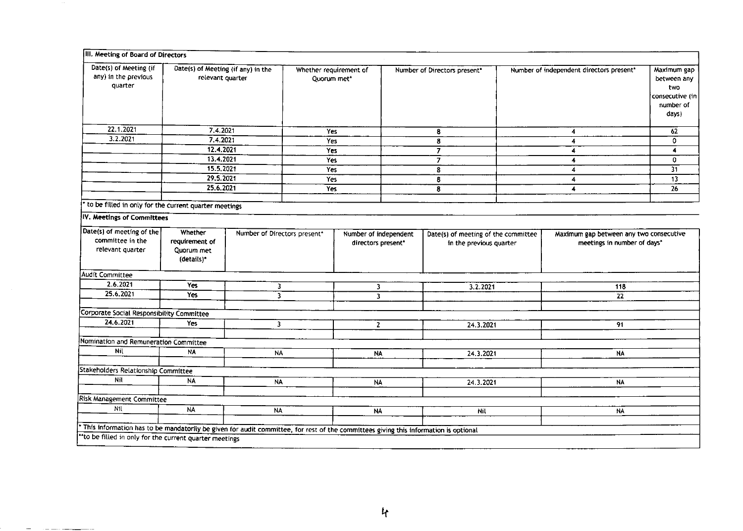| III. Meeting of Board of Directors                                                                                                  |                                                                   |                              |                                       |                                             |                                                                |   |                                                                        |                                                                            |  |
|-------------------------------------------------------------------------------------------------------------------------------------|-------------------------------------------------------------------|------------------------------|---------------------------------------|---------------------------------------------|----------------------------------------------------------------|---|------------------------------------------------------------------------|----------------------------------------------------------------------------|--|
| Date(s) of Meeting (if<br>any) in the previous<br>quarter                                                                           | Date(s) of Meeting (if any) in the<br>relevant quarter            |                              | Whether requirement of<br>Quorum met* |                                             | Number of Directors present*                                   |   | Number of independent directors present*                               | Maximum gap<br>between any<br>two<br>consecutive (in<br>number of<br>days) |  |
| 22.1.2021                                                                                                                           | 7.4.2021                                                          |                              | Yes                                   |                                             | 8                                                              |   | 4                                                                      | 62                                                                         |  |
| 3.2.2021                                                                                                                            | 7.4.2021                                                          |                              | Yes                                   |                                             | 8                                                              | 4 |                                                                        | 0                                                                          |  |
|                                                                                                                                     | 12.4.2021                                                         |                              | Yes                                   |                                             | $\overline{7}$                                                 |   | 4                                                                      | 4                                                                          |  |
|                                                                                                                                     | 13.4.2021                                                         |                              | <b>Yes</b>                            |                                             | $\overline{7}$                                                 |   | 4                                                                      | 0                                                                          |  |
|                                                                                                                                     | 15.5.2021                                                         |                              | Yes                                   |                                             | 8                                                              |   | 4                                                                      | $\overline{31}$                                                            |  |
|                                                                                                                                     | 29.5.2021                                                         |                              | Yes                                   |                                             | 8                                                              |   | 4                                                                      | $\overline{13}$                                                            |  |
|                                                                                                                                     | 25.6.2021                                                         |                              | Yes                                   |                                             | 8                                                              |   | 4                                                                      | 26                                                                         |  |
| to be filled in only for the current quarter meetings                                                                               |                                                                   |                              |                                       |                                             |                                                                |   |                                                                        |                                                                            |  |
| IV. Meetings of Committees                                                                                                          |                                                                   |                              |                                       |                                             |                                                                |   |                                                                        |                                                                            |  |
| Date(s) of meeting of the<br>committee in the<br>relevant quarter                                                                   | Whether<br>requirement of<br>Quorum met<br>(details) <sup>*</sup> | Number of Directors present* |                                       | Number of independent<br>directors present* | Date(s) of meeting of the committee<br>in the previous quarter |   | Maximum gap between any two consecutive<br>meetings in number of days* |                                                                            |  |
| <b>Audit Committee</b>                                                                                                              |                                                                   |                              |                                       |                                             |                                                                |   |                                                                        |                                                                            |  |
| 2.6.2021                                                                                                                            | Yes                                                               | 3                            |                                       | 3                                           | 3.2.2021                                                       |   | 118                                                                    |                                                                            |  |
| 25.6.2021                                                                                                                           | Yes                                                               | 3.                           |                                       | 3                                           |                                                                |   | $\overline{22}$                                                        |                                                                            |  |
| Corporate Social Responsibility Committee                                                                                           |                                                                   |                              |                                       |                                             |                                                                |   |                                                                        |                                                                            |  |
| 24.6.2021                                                                                                                           | Yes                                                               | $\overline{\mathbf{3}}$      |                                       | $\mathbf{z}$                                | 24.3.2021                                                      |   | 91                                                                     |                                                                            |  |
|                                                                                                                                     |                                                                   |                              |                                       |                                             |                                                                |   |                                                                        |                                                                            |  |
| Nomination and Remuneration Committee                                                                                               |                                                                   |                              |                                       |                                             |                                                                |   |                                                                        |                                                                            |  |
| Nil                                                                                                                                 | NA                                                                | <b>NA</b>                    |                                       | <b>NA</b>                                   | 24.3.2021                                                      |   | <b>NA</b>                                                              |                                                                            |  |
|                                                                                                                                     |                                                                   |                              |                                       |                                             |                                                                |   |                                                                        |                                                                            |  |
| Stakeholders Relationship Committee                                                                                                 |                                                                   |                              |                                       |                                             |                                                                |   |                                                                        |                                                                            |  |
| Nil                                                                                                                                 | <b>NA</b>                                                         | <b>NA</b>                    |                                       | $N$ A                                       | 24.3.2021                                                      |   | NA                                                                     |                                                                            |  |
| <b>Risk Management Committee</b>                                                                                                    |                                                                   |                              |                                       |                                             |                                                                |   |                                                                        |                                                                            |  |
| Nil                                                                                                                                 | <b>NA</b>                                                         | <b>NA</b>                    |                                       |                                             |                                                                |   |                                                                        |                                                                            |  |
|                                                                                                                                     |                                                                   |                              |                                       | <b>NA</b>                                   | Nil                                                            |   | NA                                                                     |                                                                            |  |
| This information has to be mandatorily be given for audit committee, for rest of the committees giving this information is optional |                                                                   |                              |                                       |                                             |                                                                |   |                                                                        |                                                                            |  |
| ** to be filled in only for the current quarter meetings                                                                            |                                                                   |                              |                                       |                                             |                                                                |   |                                                                        |                                                                            |  |